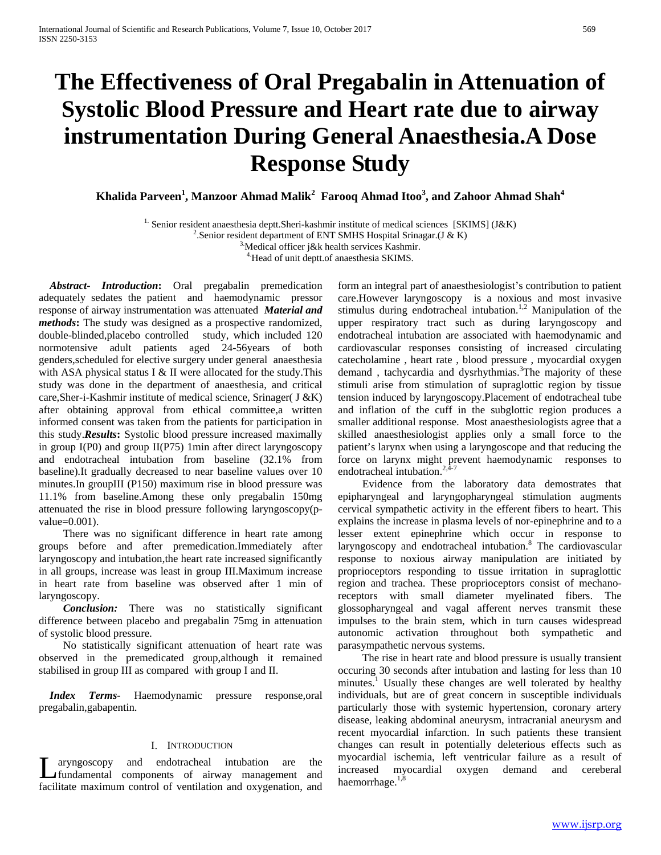# **The Effectiveness of Oral Pregabalin in Attenuation of Systolic Blood Pressure and Heart rate due to airway instrumentation During General Anaesthesia.A Dose Response Study**

 $\bold{K}$ halida Parveen $^1$ , Manzoor Ahmad Malik $^2$  Farooq Ahmad Itoo $^3$ , and Zahoor Ahmad Shah $^4$ 

<sup>1.</sup> Senior resident anaesthesia deptt. Sheri-kashmir institute of medical sciences [SKIMS] (J&K)

<sup>2</sup>.Senior resident department of ENT SMHS Hospital Srinagar.(J & K) <sup>3</sup>. Medical officer j&k health services Kashmir. <sup>4</sup>. Head of unit deptt.of anaesthesia SKIMS.

 *Abstract***-** *Introduction***:** Oral pregabalin premedication adequately sedates the patient and haemodynamic pressor response of airway instrumentation was attenuated *Material and methods***:** The study was designed as a prospective randomized, double-blinded,placebo controlled study, which included 120 normotensive adult patients aged 24-56years of both genders,scheduled for elective surgery under general anaesthesia with ASA physical status I & II were allocated for the study.This study was done in the department of anaesthesia, and critical care,Sher-i-Kashmir institute of medical science, Srinager( J &K) after obtaining approval from ethical committee,a written informed consent was taken from the patients for participation in this study.*Results***:** Systolic blood pressure increased maximally in group I(P0) and group II(P75) 1min after direct laryngoscopy and endotracheal intubation from baseline (32.1% from baseline).It gradually decreased to near baseline values over 10 minutes.In groupIII (P150) maximum rise in blood pressure was 11.1% from baseline.Among these only pregabalin 150mg attenuated the rise in blood pressure following laryngoscopy(pvalue=0.001).

 There was no significant difference in heart rate among groups before and after premedication.Immediately after laryngoscopy and intubation,the heart rate increased significantly in all groups, increase was least in group III.Maximum increase in heart rate from baseline was observed after 1 min of laryngoscopy.

 *Conclusion:* There was no statistically significant difference between placebo and pregabalin 75mg in attenuation of systolic blood pressure.

 No statistically significant attenuation of heart rate was observed in the premedicated group,although it remained stabilised in group III as compared with group I and II.

 *Index Terms*- Haemodynamic pressure response,oral pregabalin,gabapentin.

## I. INTRODUCTION

aryngoscopy and endotracheal intubation are the  $\sum$  aryngoscopy and endotracheal intubation are the myocardial isc<br>fundamental components of airway management and increased my facilitate maximum control of ventilation and oxygenation, and

form an integral part of anaesthesiologist's contribution to patient care.However laryngoscopy is a noxious and most invasive stimulus during endotracheal intubation.<sup>1,2</sup> Manipulation of the upper respiratory tract such as during laryngoscopy and endotracheal intubation are associated with haemodynamic and cardiovascular responses consisting of increased circulating catecholamine , heart rate , blood pressure , myocardial oxygen demand, tachycardia and dysrhythmias.<sup>3</sup>The majority of these stimuli arise from stimulation of supraglottic region by tissue tension induced by laryngoscopy.Placement of endotracheal tube and inflation of the cuff in the subglottic region produces a smaller additional response. Most anaesthesiologists agree that a skilled anaesthesiologist applies only a small force to the patient's larynx when using a laryngoscope and that reducing the force on larynx might prevent haemodynamic responses to endotracheal intubation. $2,4-7$ 

 Evidence from the laboratory data demostrates that epipharyngeal and laryngopharyngeal stimulation augments cervical sympathetic activity in the efferent fibers to heart. This explains the increase in plasma levels of nor-epinephrine and to a lesser extent epinephrine which occur in response to laryngoscopy and endotracheal intubation.<sup>8</sup> The cardiovascular response to noxious airway manipulation are initiated by proprioceptors responding to tissue irritation in supraglottic region and trachea. These proprioceptors consist of mechanoreceptors with small diameter myelinated fibers. The glossopharyngeal and vagal afferent nerves transmit these impulses to the brain stem, which in turn causes widespread autonomic activation throughout both sympathetic and parasympathetic nervous systems.

 The rise in heart rate and blood pressure is usually transient occuring 30 seconds after intubation and lasting for less than 10 minutes.<sup>1</sup> Usually these changes are well tolerated by healthy individuals, but are of great concern in susceptible individuals particularly those with systemic hypertension, coronary artery disease, leaking abdominal aneurysm, intracranial aneurysm and recent myocardial infarction. In such patients these transient changes can result in potentially deleterious effects such as myocardial ischemia, left ventricular failure as a result of increased myocardial oxygen demand and cereberal haemorrhage.<sup>1,8</sup>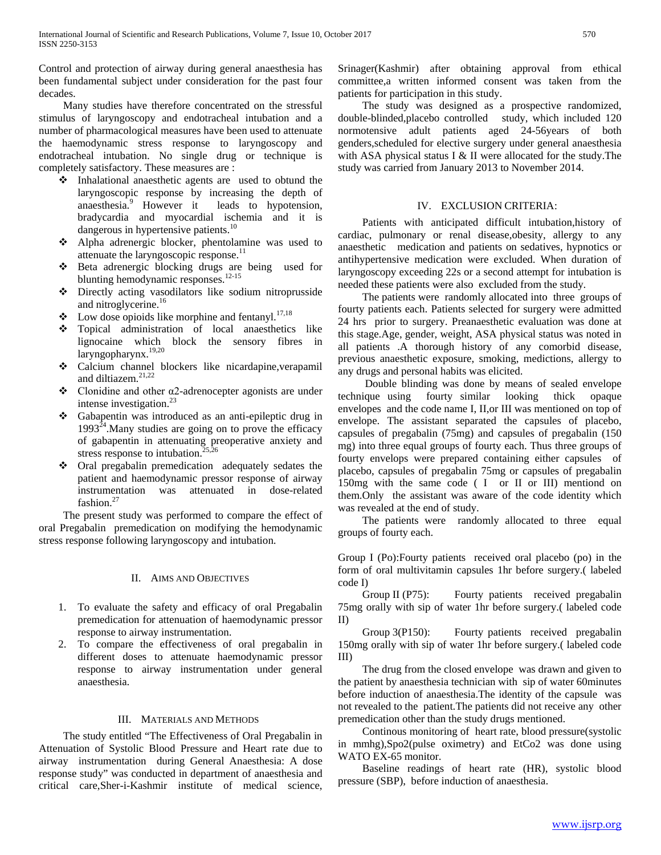Control and protection of airway during general anaesthesia has been fundamental subject under consideration for the past four decades.

 Many studies have therefore concentrated on the stressful stimulus of laryngoscopy and endotracheal intubation and a number of pharmacological measures have been used to attenuate the haemodynamic stress response to laryngoscopy and endotracheal intubation. No single drug or technique is completely satisfactory. These measures are :

- $\triangle$  Inhalational anaesthetic agents are used to obtund the laryngoscopic response by increasing the depth of anaesthesia.<sup>9</sup> However it leads to hypotension, bradycardia and myocardial ischemia and it is dangerous in hypertensive patients.<sup>10</sup>
- Alpha adrenergic blocker, phentolamine was used to attenuate the laryngoscopic response. $^{11}$
- Beta adrenergic blocking drugs are being used for blunting hemodynamic responses.<sup>12-15</sup>
- Directly acting vasodilators like sodium nitroprusside and nitroglycerine.<sup>16</sup>
- $\bullet$  Low dose opioids like morphine and fentanyl.<sup>17,18</sup>
- Topical administration of local anaesthetics like lignocaine which block the sensory fibres in laryngopharynx.19,20
- Calcium channel blockers like nicardapine,verapamil and diltiazem.<sup>21,22</sup>
- Clonidine and other α2-adrenocepter agonists are under intense investigation. $^{23}$
- Gabapentin was introduced as an anti-epileptic drug in  $1993<sup>24</sup>$ . Many studies are going on to prove the efficacy of gabapentin in attenuating preoperative anxiety and  $\frac{1}{2526}$ stress response to intubation.<sup>2</sup>
- Oral pregabalin premedication adequately sedates the patient and haemodynamic pressor response of airway instrumentation was attenuated in dose-related fashion.<sup>27</sup>

 The present study was performed to compare the effect of oral Pregabalin premedication on modifying the hemodynamic stress response following laryngoscopy and intubation.

# II. AIMS AND OBJECTIVES

- 1. To evaluate the safety and efficacy of oral Pregabalin premedication for attenuation of haemodynamic pressor response to airway instrumentation.
- 2. To compare the effectiveness of oral pregabalin in different doses to attenuate haemodynamic pressor response to airway instrumentation under general anaesthesia.

# III. MATERIALS AND METHODS

 The study entitled "The Effectiveness of Oral Pregabalin in Attenuation of Systolic Blood Pressure and Heart rate due to airway instrumentation during General Anaesthesia: A dose response study" was conducted in department of anaesthesia and critical care,Sher-i-Kashmir institute of medical science, Srinager(Kashmir) after obtaining approval from ethical committee,a written informed consent was taken from the patients for participation in this study.

 The study was designed as a prospective randomized, double-blinded,placebo controlled study, which included 120 normotensive adult patients aged 24-56years of both genders,scheduled for elective surgery under general anaesthesia with ASA physical status I & II were allocated for the study.The study was carried from January 2013 to November 2014.

# IV. EXCLUSION CRITERIA:

 Patients with anticipated difficult intubation,history of cardiac, pulmonary or renal disease,obesity, allergy to any anaesthetic medication and patients on sedatives, hypnotics or antihypertensive medication were excluded. When duration of laryngoscopy exceeding 22s or a second attempt for intubation is needed these patients were also excluded from the study.

 The patients were randomly allocated into three groups of fourty patients each. Patients selected for surgery were admitted 24 hrs prior to surgery. Preanaesthetic evaluation was done at this stage.Age, gender, weight, ASA physical status was noted in all patients .A thorough history of any comorbid disease, previous anaesthetic exposure, smoking, medictions, allergy to any drugs and personal habits was elicited.

 Double blinding was done by means of sealed envelope technique using fourty similar looking thick opaque envelopes and the code name I, II,or III was mentioned on top of envelope. The assistant separated the capsules of placebo, capsules of pregabalin (75mg) and capsules of pregabalin (150 mg) into three equal groups of fourty each. Thus three groups of fourty envelops were prepared containing either capsules of placebo, capsules of pregabalin 75mg or capsules of pregabalin 150mg with the same code ( I or II or III) mentiond on them.Only the assistant was aware of the code identity which was revealed at the end of study.

 The patients were randomly allocated to three equal groups of fourty each.

Group I (Po):Fourty patients received oral placebo (po) in the form of oral multivitamin capsules 1hr before surgery.( labeled code I)

Group II (P75): Fourty patients received pregabalin 75mg orally with sip of water 1hr before surgery.( labeled code II)

 Group 3(P150): Fourty patients received pregabalin 150mg orally with sip of water 1hr before surgery.( labeled code III)

 The drug from the closed envelope was drawn and given to the patient by anaesthesia technician with sip of water 60minutes before induction of anaesthesia.The identity of the capsule was not revealed to the patient.The patients did not receive any other premedication other than the study drugs mentioned.

 Continous monitoring of heart rate, blood pressure(systolic in mmhg),Spo2(pulse oximetry) and EtCo2 was done using WATO EX-65 monitor.

 Baseline readings of heart rate (HR), systolic blood pressure (SBP), before induction of anaesthesia.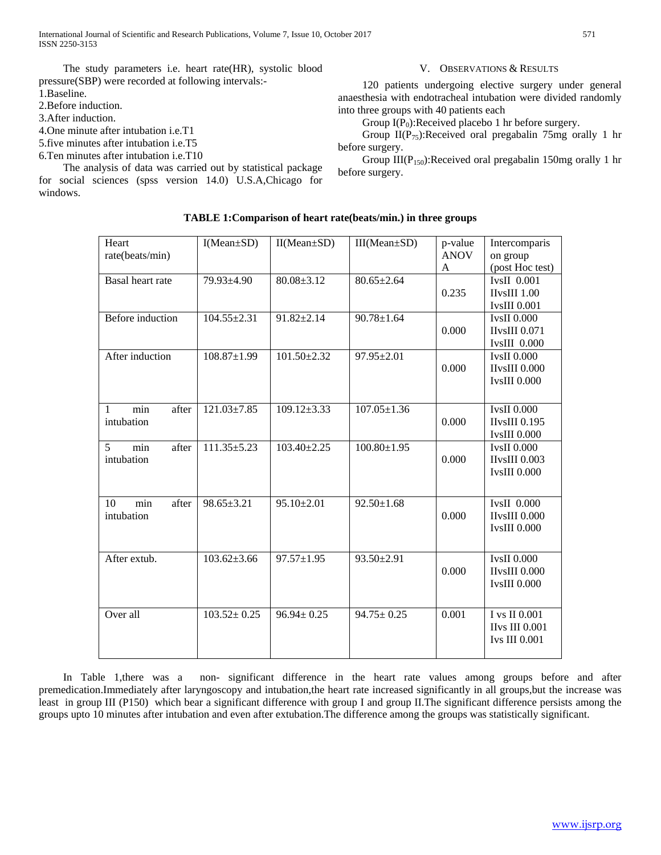The study parameters i.e. heart rate(HR), systolic blood pressure(SBP) were recorded at following intervals:-

- 1.Baseline.
- 2.Before induction.
- 3.After induction.
- 4.One minute after intubation i.e.T1
- 5.five minutes after intubation i.e.T5
- 6.Ten minutes after intubation i.e.T10

 The analysis of data was carried out by statistical package for social sciences (spss version 14.0) U.S.A,Chicago for windows.

#### **Heart** rate(beats/min) I(Mean±SD) II(Mean±SD) III(Mean±SD) p-value ANOV A Intercomparis on group (post Hoc test) Basal heart rate  $\begin{array}{|c|c|c|c|c|c|} \hline 79.93 \pm 4.90 & 80.08 \pm 3.12 & 80.65 \pm 2.64 \hline \end{array}$ 0.235 IvsII 0.001 IIvsIII 1.00 IvsIII 0.001 Before induction  $104.55\pm 2.31$  91.82 $\pm 2.14$  90.78 $\pm 1.64$ 0.000 IvsII 0.000 IIvsIII 0.071 IvsIII 0.000 After induction 108.87+1.99 101.50+2.32 97.95+2.01 0.000 IvsII 0.000 IIvsIII 0.000 IvsIII 0.000 1 min after intubation 121.03±7.85 109.12±3.33 107.05±1.36 0.000 IvsII 0.000 IIvsIII 0.195 IvsIII 0.000 5 min after intubation  $111.35\pm5.23$  103.40 $\pm2.25$  100.80 $\pm1.95$ 0.000 IvsII 0.000 IIvsIII 0.003 IvsIII 0.000 10 min after intubation 98.65 $\pm$ 3.21 95.10 $\pm$ 2.01 92.50 $\pm$ 1.68 0.000 IvsII 0.000 IIvsIII 0.000 IvsIII 0.000 After extub. 103.62±3.66 97.57±1.95 93.50±2.91 0.000 IvsII 0.000 IIvsIII 0.000 IvsIII 0.000 Over all  $103.52 \pm 0.25$   $96.94 \pm 0.25$   $94.75 \pm 0.25$   $0.001$  I vs II 0.001 IIvs III 0.001 Ivs III 0.001

 In Table 1,there was a non- significant difference in the heart rate values among groups before and after premedication.Immediately after laryngoscopy and intubation,the heart rate increased significantly in all groups,but the increase was least in group III (P150) which bear a significant difference with group I and group II.The significant difference persists among the groups upto 10 minutes after intubation and even after extubation.The difference among the groups was statistically significant.

### V. OBSERVATIONS & RESULTS

 120 patients undergoing elective surgery under general anaesthesia with endotracheal intubation were divided randomly into three groups with 40 patients each

Group  $I(P_0)$ : Received placebo 1 hr before surgery.

Group  $II(P_{75})$ : Received oral pregabalin 75mg orally 1 hr before surgery.

Group  $III(P_{150})$ :Received oral pregabalin 150mg orally 1 hr before surgery.

# **TABLE 1:Comparison of heart rate(beats/min.) in three groups**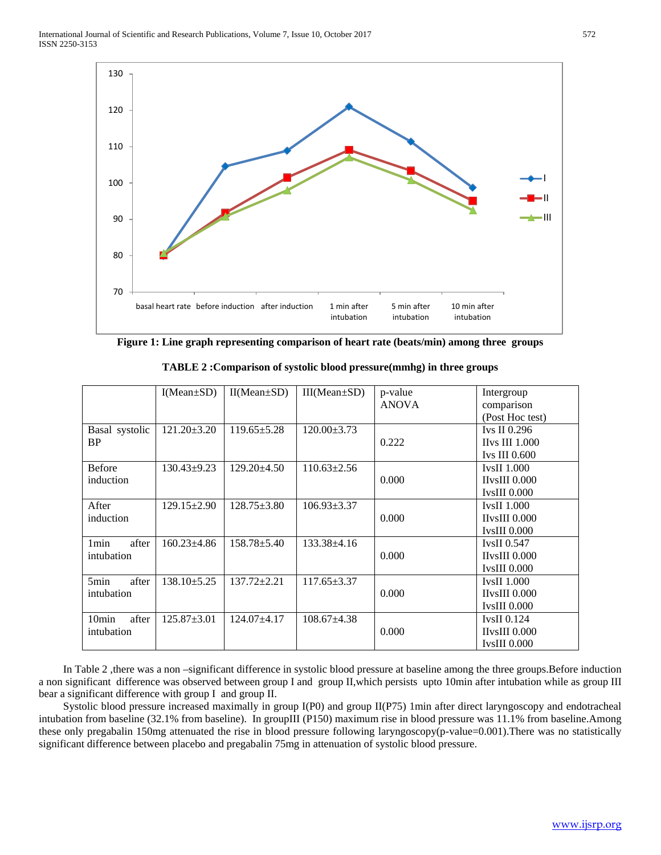

**Figure 1: Line graph representing comparison of heart rate (beats/min) among three groups**

|                                          | $I(Mean \pm SD)$  | $II(Mean \pm SD)$ | $III(Mean \pm SD)$ | p-value<br><b>ANOVA</b> | Intergroup<br>comparison<br>(Post Hoc test)                |
|------------------------------------------|-------------------|-------------------|--------------------|-------------------------|------------------------------------------------------------|
| Basal systolic<br><b>BP</b>              | $121.20 \pm 3.20$ | $119.65 \pm 5.28$ | $120.00 \pm 3.73$  | 0.222                   | Ivs II $0.296$<br><b>IIvs III 1.000</b><br>Ivs III $0.600$ |
| <b>Before</b><br>induction               | $130.43 \pm 9.23$ | $129.20 + 4.50$   | $110.63 \pm 2.56$  | 0.000                   | <b>IvsII 1.000</b><br>$IIvsIII$ 0.000<br>$IvsIII$ 0.000    |
| After<br>induction                       | $129.15 \pm 2.90$ | $128.75 \pm 3.80$ | $106.93 \pm 3.37$  | 0.000                   | IvsII $1.000$<br>$HvsIII$ $0.000$<br>$IvsIII$ 0.000        |
| 1 <sub>min</sub><br>after<br>intubation  | $160.23 \pm 4.86$ | $158.78 \pm 5.40$ | $133.38 \pm 4.16$  | 0.000                   | IvsII $0.547$<br>$IIvsIII$ 0.000<br>$IvsIII$ 0.000         |
| 5min<br>after<br>intubation              | $138.10 \pm 5.25$ | $137.72 + 2.21$   | $117.65 \pm 3.37$  | 0.000                   | <b>IvsII 1.000</b><br>$IIvsIII$ $0.000$<br>IvsIII 0.000    |
| 10 <sub>min</sub><br>after<br>intubation | $125.87 \pm 3.01$ | $124.07 + 4.17$   | $108.67 + 4.38$    | 0.000                   | IvsII $0.124$<br>$IIvsIII$ 0.000<br><b>IvsIII</b> 0.000    |

**TABLE 2 :Comparison of systolic blood pressure(mmhg) in three groups**

 In Table 2 ,there was a non –significant difference in systolic blood pressure at baseline among the three groups.Before induction a non significant difference was observed between group I and group II,which persists upto 10min after intubation while as group III bear a significant difference with group I and group II.

 Systolic blood pressure increased maximally in group I(P0) and group II(P75) 1min after direct laryngoscopy and endotracheal intubation from baseline (32.1% from baseline). In groupIII (P150) maximum rise in blood pressure was 11.1% from baseline.Among these only pregabalin 150mg attenuated the rise in blood pressure following laryngoscopy(p-value=0.001).There was no statistically significant difference between placebo and pregabalin 75mg in attenuation of systolic blood pressure.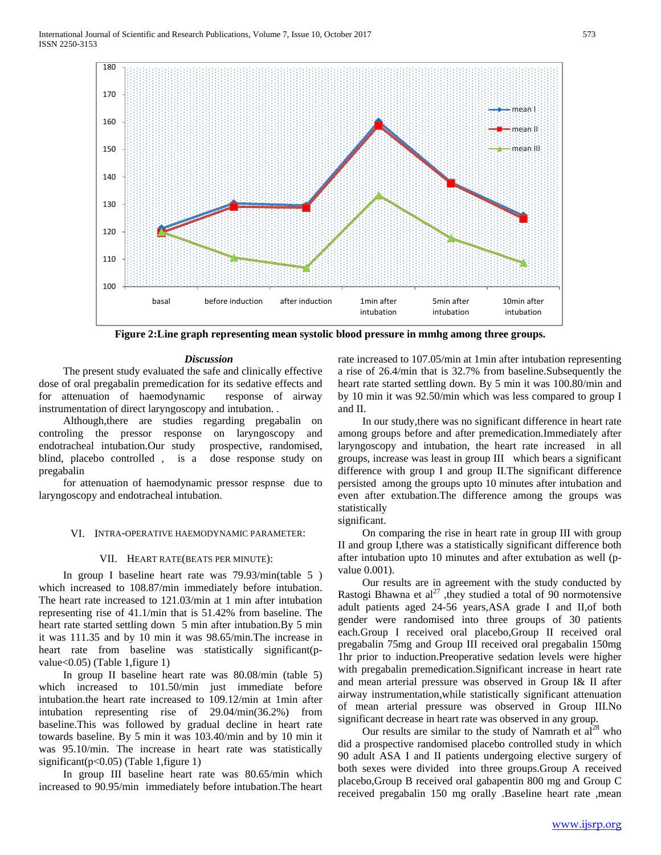

**Figure 2:Line graph representing mean systolic blood pressure in mmhg among three groups.**

#### *Discussion*

 The present study evaluated the safe and clinically effective dose of oral pregabalin premedication for its sedative effects and for attenuation of haemodynamic response of airway instrumentation of direct laryngoscopy and intubation. .

 Although,there are studies regarding pregabalin on controling the pressor response on laryngoscopy and endotracheal intubation.Our study prospective, randomised, blind, placebo controlled , is a dose response study on pregabalin

 for attenuation of haemodynamic pressor respnse due to laryngoscopy and endotracheal intubation.

### VI. INTRA-OPERATIVE HAEMODYNAMIC PARAMETER:

#### VII. HEART RATE(BEATS PER MINUTE):

 In group I baseline heart rate was 79.93/min(table 5 ) which increased to 108.87/min immediately before intubation. The heart rate increased to 121.03/min at 1 min after intubation representing rise of 41.1/min that is 51.42% from baseline. The heart rate started settling down 5 min after intubation.By 5 min it was 111.35 and by 10 min it was 98.65/min.The increase in heart rate from baseline was statistically significant(pvalue<0.05) (Table 1,figure 1)

 In group II baseline heart rate was 80.08/min (table 5) which increased to 101.50/min just immediate before intubation.the heart rate increased to 109.12/min at 1min after intubation representing rise of 29.04/min(36.2%) from baseline.This was followed by gradual decline in heart rate towards baseline. By 5 min it was 103.40/min and by 10 min it was 95.10/min. The increase in heart rate was statistically significant( $p<0.05$ ) (Table 1, figure 1)

 In group III baseline heart rate was 80.65/min which increased to 90.95/min immediately before intubation.The heart

rate increased to 107.05/min at 1min after intubation representing a rise of 26.4/min that is 32.7% from baseline.Subsequently the heart rate started settling down. By 5 min it was 100.80/min and by 10 min it was 92.50/min which was less compared to group I and II.

 In our study,there was no significant difference in heart rate among groups before and after premedication.Immediately after laryngoscopy and intubation, the heart rate increased in all groups, increase was least in group III which bears a significant difference with group I and group II.The significant difference persisted among the groups upto 10 minutes after intubation and even after extubation.The difference among the groups was statistically

significant.

 On comparing the rise in heart rate in group III with group II and group I,there was a statistically significant difference both after intubation upto 10 minutes and after extubation as well (pvalue 0.001).

 Our results are in agreement with the study conducted by Rastogi Bhawna et  $al^{27}$ , they studied a total of 90 normotensive adult patients aged 24-56 years,ASA grade I and II,of both gender were randomised into three groups of 30 patients each.Group I received oral placebo,Group II received oral pregabalin 75mg and Group III received oral pregabalin 150mg 1hr prior to induction.Preoperative sedation levels were higher with pregabalin premedication.Significant increase in heart rate and mean arterial pressure was observed in Group I& II after airway instrumentation,while statistically significant attenuation of mean arterial pressure was observed in Group III.No significant decrease in heart rate was observed in any group.

Our results are similar to the study of Namrath et  $al^{28}$  who did a prospective randomised placebo controlled study in which 90 adult ASA I and II patients undergoing elective surgery of both sexes were divided into three groups.Group A received placebo,Group B received oral gabapentin 800 mg and Group C received pregabalin 150 mg orally .Baseline heart rate ,mean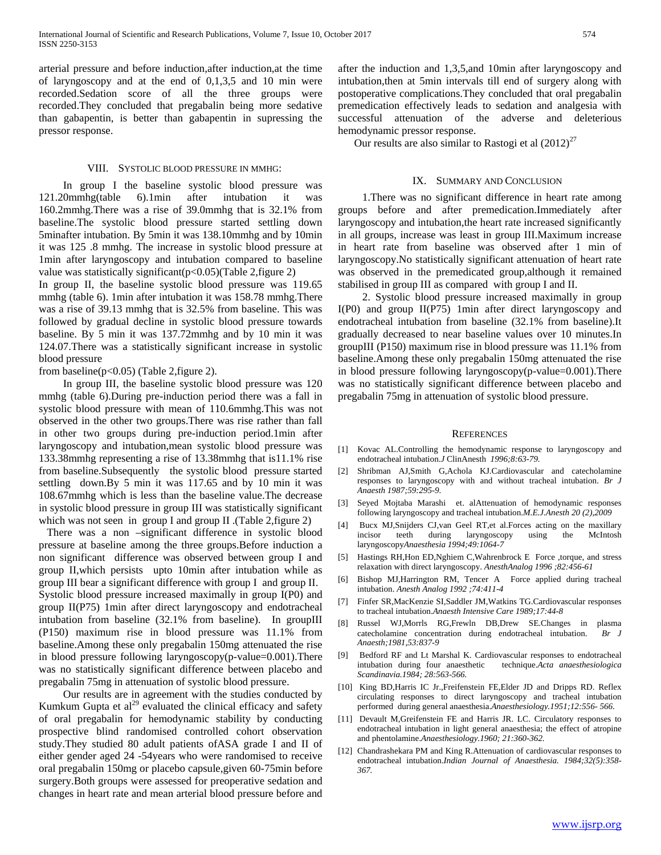arterial pressure and before induction,after induction,at the time of laryngoscopy and at the end of 0,1,3,5 and 10 min were recorded.Sedation score of all the three groups were recorded.They concluded that pregabalin being more sedative than gabapentin, is better than gabapentin in supressing the pressor response.

#### VIII. SYSTOLIC BLOOD PRESSURE IN MMHG:

 In group I the baseline systolic blood pressure was 121.20mmhg(table 6).1min after intubation it was 160.2mmhg.There was a rise of 39.0mmhg that is 32.1% from baseline.The systolic blood pressure started settling down 5minafter intubation. By 5min it was 138.10mmhg and by 10min it was 125 .8 mmhg. The increase in systolic blood pressure at 1min after laryngoscopy and intubation compared to baseline value was statistically significant( $p<0.05$ )(Table 2, figure 2)

In group II, the baseline systolic blood pressure was 119.65 mmhg (table 6). 1min after intubation it was 158.78 mmhg.There was a rise of 39.13 mmhg that is 32.5% from baseline. This was followed by gradual decline in systolic blood pressure towards baseline. By 5 min it was 137.72mmhg and by 10 min it was 124.07.There was a statistically significant increase in systolic blood pressure

from baseline( $p<0.05$ ) (Table 2, figure 2).

 In group III, the baseline systolic blood pressure was 120 mmhg (table 6).During pre-induction period there was a fall in systolic blood pressure with mean of 110.6mmhg.This was not observed in the other two groups.There was rise rather than fall in other two groups during pre-induction period.1min after laryngoscopy and intubation,mean systolic blood pressure was 133.38mmhg representing a rise of 13.38mmhg that is11.1% rise from baseline.Subsequently the systolic blood pressure started settling down.By 5 min it was 117.65 and by 10 min it was 108.67mmhg which is less than the baseline value.The decrease in systolic blood pressure in group III was statistically significant which was not seen in group I and group II .(Table 2,figure 2)

 There was a non –significant difference in systolic blood pressure at baseline among the three groups.Before induction a non significant difference was observed between group I and group II,which persists upto 10min after intubation while as group III bear a significant difference with group I and group II. Systolic blood pressure increased maximally in group I(P0) and group II(P75) 1min after direct laryngoscopy and endotracheal intubation from baseline (32.1% from baseline). In groupIII (P150) maximum rise in blood pressure was 11.1% from baseline.Among these only pregabalin 150mg attenuated the rise in blood pressure following laryngoscopy(p-value=0.001).There was no statistically significant difference between placebo and pregabalin 75mg in attenuation of systolic blood pressure.

 Our results are in agreement with the studies conducted by Kumkum Gupta et  $al^{29}$  evaluated the clinical efficacy and safety of oral pregabalin for hemodynamic stability by conducting prospective blind randomised controlled cohort observation study.They studied 80 adult patients ofASA grade I and II of either gender aged 24 -54years who were randomised to receive oral pregabalin 150mg or placebo capsule,given 60-75min before surgery.Both groups were assessed for preoperative sedation and changes in heart rate and mean arterial blood pressure before and after the induction and 1,3,5,and 10min after laryngoscopy and intubation,then at 5min intervals till end of surgery along with postoperative complications.They concluded that oral pregabalin premedication effectively leads to sedation and analgesia with successful attenuation of the adverse and deleterious hemodynamic pressor response.

Our results are also similar to Rastogi et al  $(2012)^{27}$ 

# IX. SUMMARY AND CONCLUSION

 1.There was no significant difference in heart rate among groups before and after premedication.Immediately after laryngoscopy and intubation,the heart rate increased significantly in all groups, increase was least in group III.Maximum increase in heart rate from baseline was observed after 1 min of laryngoscopy.No statistically significant attenuation of heart rate was observed in the premedicated group,although it remained stabilised in group III as compared with group I and II.

 2. Systolic blood pressure increased maximally in group I(P0) and group II(P75) 1min after direct laryngoscopy and endotracheal intubation from baseline (32.1% from baseline).It gradually decreased to near baseline values over 10 minutes.In groupIII (P150) maximum rise in blood pressure was 11.1% from baseline.Among these only pregabalin 150mg attenuated the rise in blood pressure following laryngoscopy(p-value=0.001).There was no statistically significant difference between placebo and pregabalin 75mg in attenuation of systolic blood pressure.

#### **REFERENCES**

- [1] Kovac AL.Controlling the hemodynamic response to laryngoscopy and endotracheal intubation.*J* ClinAnesth *1996;8:63-79.*
- [2] Shribman AJ,Smith G,Achola KJ.Cardiovascular and catecholamine responses to laryngoscopy with and without tracheal intubation. *Br J Anaesth 1987;59:295-9.*
- [3] Seyed Mojtaba Marashi et. alAttenuation of hemodynamic responses following laryngoscopy and tracheal intubation.*M.E.J.Anesth 20 (2),2009*
- [4] Bucx MJ,Snijders CJ,van Geel RT,et al.Forces acting on the maxillary incisor teeth during laryngoscopy using the McIntosh laryngoscopy*Anaesthesia 1994;49:1064-7*
- [5] Hastings RH,Hon ED,Nghiem C,Wahrenbrock E Force ,torque, and stress relaxation with direct laryngoscopy. *AnesthAnalog 1996 ;82:456-61*
- [6] Bishop MJ,Harrington RM, Tencer A Force applied during tracheal intubation. *Anesth Analog 1992 ;74:411-4*
- [7] Finfer SR,MacKenzie SI,Saddler JM,Watkins TG.Cardiovascular responses to tracheal intubation.*Anaesth Intensive Care 1989;17:44-8*
- [8] Russel WJ,Morrls RG,Frewln DB,Drew SE.Changes in plasma catecholamine concentration during endotracheal intubation. *Br J Anaesth;1981,53:837-9*
- [9] Bedford RF and Lt Marshal K. Cardiovascular responses to endotracheal intubation during four anaesthetic technique.*Acta anaesthesiologica Scandinavia.1984; 28:563-566.*
- [10] King BD, Harris IC Jr., Freifenstein FE, Elder JD and Dripps RD. Reflex circulating responses to direct laryngoscopy and tracheal intubation performed during general anaesthesia.*Anaesthesiology.1951;12:556- 566.*
- [11] Devault M,Greifenstein FE and Harris JR. LC. Circulatory responses to endotracheal intubation in light general anaesthesia; the effect of atropine and phentolamine.*Anaesthesiology.1960; 21:360-362.*
- [12] Chandrashekara PM and King R.Attenuation of cardiovascular responses to endotracheal intubation.*Indian Journal of Anaesthesia. 1984;32(5):358- 367.*